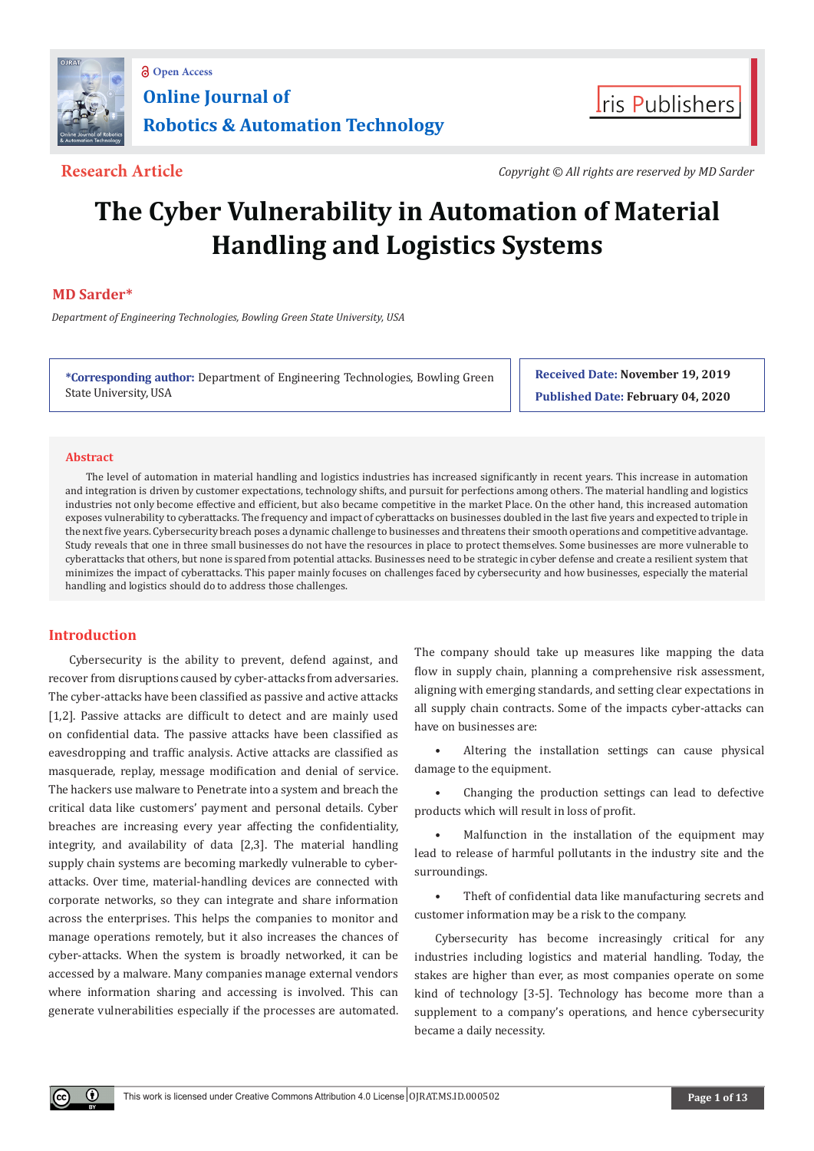



**Research Article** *Copyright © All rights are reserved by MD Sarder*

# **The Cyber Vulnerability in Automation of Material Handling and Logistics Systems**

# **MD Sarder\***

 *Department of Engineering Technologies, Bowling Green State University, USA*

**\*Corresponding author:** Department of Engineering Technologies, Bowling Green State University, USA

**Received Date: November 19, 2019 Published Date: February 04, 2020**

#### **Abstract**

The level of automation in material handling and logistics industries has increased significantly in recent years. This increase in automation and integration is driven by customer expectations, technology shifts, and pursuit for perfections among others. The material handling and logistics industries not only become effective and efficient, but also became competitive in the market Place. On the other hand, this increased automation exposes vulnerability to cyberattacks. The frequency and impact of cyberattacks on businesses doubled in the last five years and expected to triple in the next five years. Cybersecurity breach poses a dynamic challenge to businesses and threatens their smooth operations and competitive advantage. Study reveals that one in three small businesses do not have the resources in place to protect themselves. Some businesses are more vulnerable to cyberattacks that others, but none is spared from potential attacks. Businesses need to be strategic in cyber defense and create a resilient system that minimizes the impact of cyberattacks. This paper mainly focuses on challenges faced by cybersecurity and how businesses, especially the material handling and logistics should do to address those challenges.

# **Introduction**

Œ

Cybersecurity is the ability to prevent, defend against, and recover from disruptions caused by cyber-attacks from adversaries. The cyber-attacks have been classified as passive and active attacks [1,2]. Passive attacks are difficult to detect and are mainly used on confidential data. The passive attacks have been classified as eavesdropping and traffic analysis. Active attacks are classified as masquerade, replay, message modification and denial of service. The hackers use malware to Penetrate into a system and breach the critical data like customers' payment and personal details. Cyber breaches are increasing every year affecting the confidentiality, integrity, and availability of data [2,3]. The material handling supply chain systems are becoming markedly vulnerable to cyberattacks. Over time, material-handling devices are connected with corporate networks, so they can integrate and share information across the enterprises. This helps the companies to monitor and manage operations remotely, but it also increases the chances of cyber-attacks. When the system is broadly networked, it can be accessed by a malware. Many companies manage external vendors where information sharing and accessing is involved. This can generate vulnerabilities especially if the processes are automated. The company should take up measures like mapping the data flow in supply chain, planning a comprehensive risk assessment, aligning with emerging standards, and setting clear expectations in all supply chain contracts. Some of the impacts cyber-attacks can have on businesses are:

Altering the installation settings can cause physical damage to the equipment.

• Changing the production settings can lead to defective products which will result in loss of profit.

Malfunction in the installation of the equipment may lead to release of harmful pollutants in the industry site and the surroundings.

Theft of confidential data like manufacturing secrets and customer information may be a risk to the company.

Cybersecurity has become increasingly critical for any industries including logistics and material handling. Today, the stakes are higher than ever, as most companies operate on some kind of technology [3-5]. Technology has become more than a supplement to a company's operations, and hence cybersecurity became a daily necessity.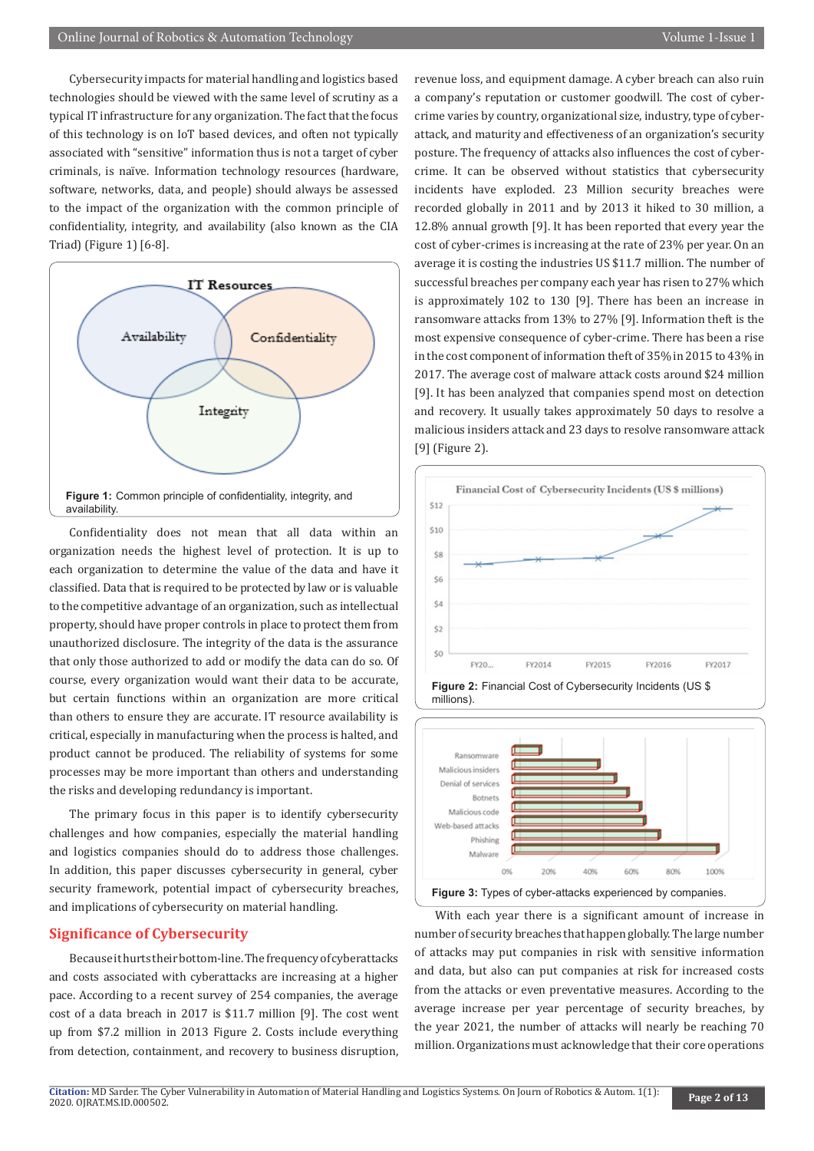Cybersecurity impacts for material handling and logistics based technologies should be viewed with the same level of scrutiny as a typical IT infrastructure for any organization. The fact that the focus of this technology is on IoT based devices, and often not typically associated with "sensitive" information thus is not a target of cyber criminals, is naïve. Information technology resources (hardware, software, networks, data, and people) should always be assessed to the impact of the organization with the common principle of confidentiality, integrity, and availability (also known as the CIA Triad) (Figure 1) [6-8].



Confidentiality does not mean that all data within an organization needs the highest level of protection. It is up to each organization to determine the value of the data and have it classified. Data that is required to be protected by law or is valuable to the competitive advantage of an organization, such as intellectual property, should have proper controls in place to protect them from unauthorized disclosure. The integrity of the data is the assurance that only those authorized to add or modify the data can do so. Of course, every organization would want their data to be accurate, but certain functions within an organization are more critical than others to ensure they are accurate. IT resource availability is critical, especially in manufacturing when the process is halted, and product cannot be produced. The reliability of systems for some processes may be more important than others and understanding the risks and developing redundancy is important.

The primary focus in this paper is to identify cybersecurity challenges and how companies, especially the material handling and logistics companies should do to address those challenges. In addition, this paper discusses cybersecurity in general, cyber security framework, potential impact of cybersecurity breaches, and implications of cybersecurity on material handling.

### **Significance of Cybersecurity**

Because it hurts their bottom-line. The frequency of cyberattacks and costs associated with cyberattacks are increasing at a higher pace. According to a recent survey of 254 companies, the average cost of a data breach in 2017 is \$11.7 million [9]. The cost went up from \$7.2 million in 2013 Figure 2. Costs include everything from detection, containment, and recovery to business disruption,

revenue loss, and equipment damage. A cyber breach can also ruin a company's reputation or customer goodwill. The cost of cybercrime varies by country, organizational size, industry, type of cyberattack, and maturity and effectiveness of an organization's security posture. The frequency of attacks also influences the cost of cybercrime. It can be observed without statistics that cybersecurity incidents have exploded. 23 Million security breaches were recorded globally in 2011 and by 2013 it hiked to 30 million, a 12.8% annual growth [9]. It has been reported that every year the cost of cyber-crimes is increasing at the rate of 23% per year. On an average it is costing the industries US \$11.7 million. The number of successful breaches per company each year has risen to 27% which is approximately 102 to 130 [9]. There has been an increase in ransomware attacks from 13% to 27% [9]. Information theft is the most expensive consequence of cyber-crime. There has been a rise in the cost component of information theft of 35% in 2015 to 43% in 2017. The average cost of malware attack costs around \$24 million [9]. It has been analyzed that companies spend most on detection and recovery. It usually takes approximately 50 days to resolve a malicious insiders attack and 23 days to resolve ransomware attack [9] (Figure 2).





With each year there is a significant amount of increase in number of security breaches that happen globally. The large number of attacks may put companies in risk with sensitive information and data, but also can put companies at risk for increased costs from the attacks or even preventative measures. According to the average increase per year percentage of security breaches, by the year 2021, the number of attacks will nearly be reaching 70 million. Organizations must acknowledge that their core operations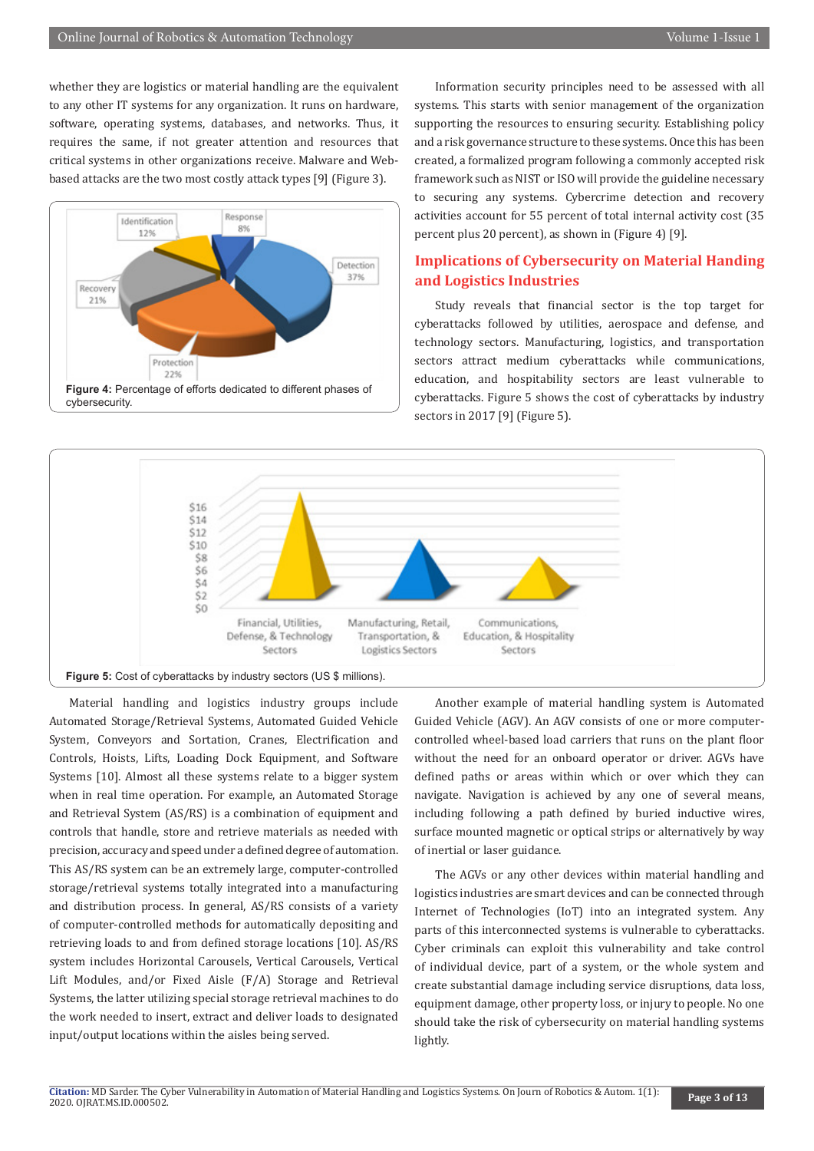whether they are logistics or material handling are the equivalent to any other IT systems for any organization. It runs on hardware, software, operating systems, databases, and networks. Thus, it requires the same, if not greater attention and resources that critical systems in other organizations receive. Malware and Webbased attacks are the two most costly attack types [9] (Figure 3).



Information security principles need to be assessed with all systems. This starts with senior management of the organization supporting the resources to ensuring security. Establishing policy and a risk governance structure to these systems. Once this has been created, a formalized program following a commonly accepted risk framework such as NIST or ISO will provide the guideline necessary to securing any systems. Cybercrime detection and recovery activities account for 55 percent of total internal activity cost (35 percent plus 20 percent), as shown in (Figure 4) [9].

# **Implications of Cybersecurity on Material Handing and Logistics Industries**

Study reveals that financial sector is the top target for cyberattacks followed by utilities, aerospace and defense, and technology sectors. Manufacturing, logistics, and transportation sectors attract medium cyberattacks while communications, education, and hospitability sectors are least vulnerable to cyberattacks. Figure 5 shows the cost of cyberattacks by industry sectors in 2017 [9] (Figure 5).



Material handling and logistics industry groups include Automated Storage/Retrieval Systems, Automated Guided Vehicle System, Conveyors and Sortation, Cranes, Electrification and Controls, Hoists, Lifts, Loading Dock Equipment, and Software Systems [10]. Almost all these systems relate to a bigger system when in real time operation. For example, an Automated Storage and Retrieval System (AS/RS) is a combination of equipment and controls that handle, store and retrieve materials as needed with precision, accuracy and speed under a defined degree of automation. This AS/RS system can be an extremely large, computer-controlled storage/retrieval systems totally integrated into a manufacturing and distribution process. In general, AS/RS consists of a variety of computer-controlled methods for automatically depositing and retrieving loads to and from defined storage locations [10]. AS/RS system includes Horizontal Carousels, Vertical Carousels, Vertical Lift Modules, and/or Fixed Aisle (F/A) Storage and Retrieval Systems, the latter utilizing special storage retrieval machines to do the work needed to insert, extract and deliver loads to designated input/output locations within the aisles being served.

Another example of material handling system is Automated Guided Vehicle (AGV). An AGV consists of one or more computercontrolled wheel-based load carriers that runs on the plant floor without the need for an onboard operator or driver. AGVs have defined paths or areas within which or over which they can navigate. Navigation is achieved by any one of several means, including following a path defined by buried inductive wires, surface mounted magnetic or optical strips or alternatively by way of inertial or laser guidance.

The AGVs or any other devices within material handling and logistics industries are smart devices and can be connected through Internet of Technologies (IoT) into an integrated system. Any parts of this interconnected systems is vulnerable to cyberattacks. Cyber criminals can exploit this vulnerability and take control of individual device, part of a system, or the whole system and create substantial damage including service disruptions, data loss, equipment damage, other property loss, or injury to people. No one should take the risk of cybersecurity on material handling systems lightly.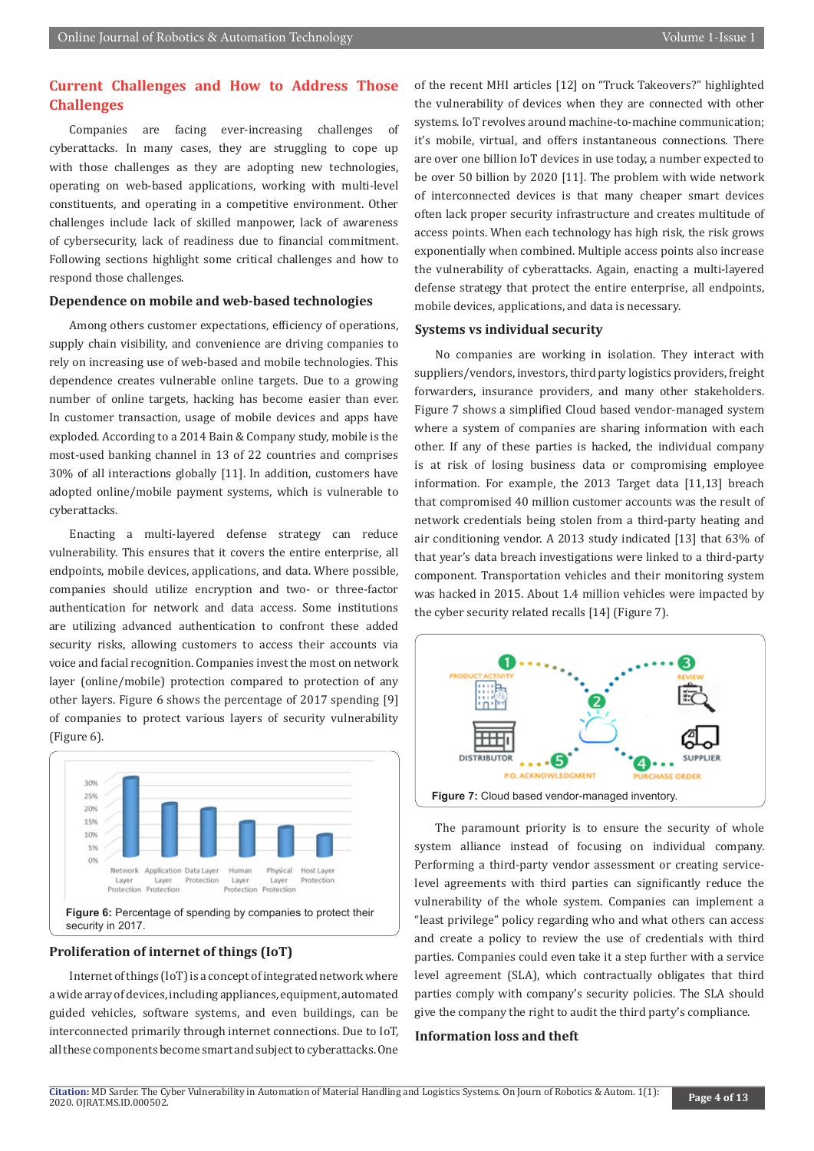# **Current Challenges and How to Address Those Challenges**

Companies are facing ever-increasing challenges of cyberattacks. In many cases, they are struggling to cope up with those challenges as they are adopting new technologies, operating on web-based applications, working with multi-level constituents, and operating in a competitive environment. Other challenges include lack of skilled manpower, lack of awareness of cybersecurity, lack of readiness due to financial commitment. Following sections highlight some critical challenges and how to respond those challenges.

#### **Dependence on mobile and web-based technologies**

Among others customer expectations, efficiency of operations, supply chain visibility, and convenience are driving companies to rely on increasing use of web-based and mobile technologies. This dependence creates vulnerable online targets. Due to a growing number of online targets, hacking has become easier than ever. In customer transaction, usage of mobile devices and apps have exploded. According to a 2014 Bain & Company study, mobile is the most-used banking channel in 13 of 22 countries and comprises 30% of all interactions globally [11]. In addition, customers have adopted online/mobile payment systems, which is vulnerable to cyberattacks.

Enacting a multi-layered defense strategy can reduce vulnerability. This ensures that it covers the entire enterprise, all endpoints, mobile devices, applications, and data. Where possible, companies should utilize encryption and two- or three-factor authentication for network and data access. Some institutions are utilizing advanced authentication to confront these added security risks, allowing customers to access their accounts via voice and facial recognition. Companies invest the most on network layer (online/mobile) protection compared to protection of any other layers. Figure 6 shows the percentage of 2017 spending [9] of companies to protect various layers of security vulnerability (Figure 6).



#### **Proliferation of internet of things (IoT)**

Internet of things (IoT) is a concept of integrated network where a wide array of devices, including appliances, equipment, automated guided vehicles, software systems, and even buildings, can be interconnected primarily through internet connections. Due to IoT, all these components become smart and subject to cyberattacks. One of the recent MHI articles [12] on "Truck Takeovers?" highlighted the vulnerability of devices when they are connected with other systems. IoT revolves around machine-to-machine communication; it's mobile, virtual, and offers instantaneous connections. There are over one billion IoT devices in use today, a number expected to be over 50 billion by 2020 [11]. The problem with wide network of interconnected devices is that many cheaper smart devices often lack proper security infrastructure and creates multitude of access points. When each technology has high risk, the risk grows exponentially when combined. Multiple access points also increase the vulnerability of cyberattacks. Again, enacting a multi-layered defense strategy that protect the entire enterprise, all endpoints, mobile devices, applications, and data is necessary.

#### **Systems vs individual security**

No companies are working in isolation. They interact with suppliers/vendors, investors, third party logistics providers, freight forwarders, insurance providers, and many other stakeholders. Figure 7 shows a simplified Cloud based vendor-managed system where a system of companies are sharing information with each other. If any of these parties is hacked, the individual company is at risk of losing business data or compromising employee information. For example, the 2013 Target data [11,13] breach that compromised 40 million customer accounts was the result of network credentials being stolen from a third-party heating and air conditioning vendor. A 2013 study indicated [13] that 63% of that year's data breach investigations were linked to a third-party component. Transportation vehicles and their monitoring system was hacked in 2015. About 1.4 million vehicles were impacted by the cyber security related recalls [14] (Figure 7).



The paramount priority is to ensure the security of whole system alliance instead of focusing on individual company. Performing a third-party vendor assessment or creating servicelevel agreements with third parties can significantly reduce the vulnerability of the whole system. Companies can implement a "least privilege" policy regarding who and what others can access and create a policy to review the use of credentials with third parties. Companies could even take it a step further with a service level agreement (SLA), which contractually obligates that third parties comply with company's security policies. The SLA should give the company the right to audit the third party's compliance.

#### **Information loss and theft**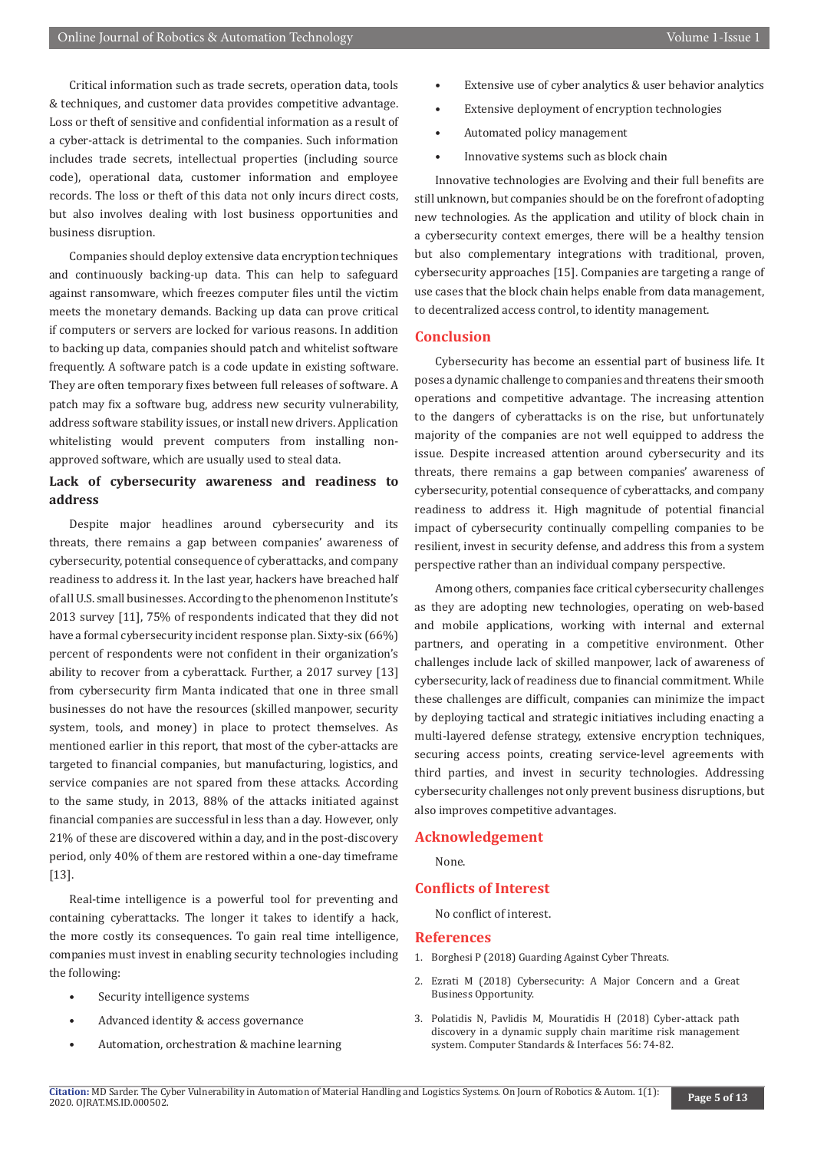Critical information such as trade secrets, operation data, tools & techniques, and customer data provides competitive advantage. Loss or theft of sensitive and confidential information as a result of a cyber-attack is detrimental to the companies. Such information includes trade secrets, intellectual properties (including source code), operational data, customer information and employee records. The loss or theft of this data not only incurs direct costs, but also involves dealing with lost business opportunities and business disruption.

Companies should deploy extensive data encryption techniques and continuously backing-up data. This can help to safeguard against ransomware, which freezes computer files until the victim meets the monetary demands. Backing up data can prove critical if computers or servers are locked for various reasons. In addition to backing up data, companies should patch and whitelist software frequently. A software patch is a code update in existing software. They are often temporary fixes between full releases of software. A patch may fix a software bug, address new security vulnerability, address software stability issues, or install new drivers. Application whitelisting would prevent computers from installing nonapproved software, which are usually used to steal data.

## **Lack of cybersecurity awareness and readiness to address**

Despite major headlines around cybersecurity and its threats, there remains a gap between companies' awareness of cybersecurity, potential consequence of cyberattacks, and company readiness to address it. In the last year, hackers have breached half of all U.S. small businesses. According to the phenomenon Institute's 2013 survey [11], 75% of respondents indicated that they did not have a formal cybersecurity incident response plan. Sixty-six (66%) percent of respondents were not confident in their organization's ability to recover from a cyberattack. Further, a 2017 survey [13] from cybersecurity firm Manta indicated that one in three small businesses do not have the resources (skilled manpower, security system, tools, and money) in place to protect themselves. As mentioned earlier in this report, that most of the cyber-attacks are targeted to financial companies, but manufacturing, logistics, and service companies are not spared from these attacks. According to the same study, in 2013, 88% of the attacks initiated against financial companies are successful in less than a day. However, only 21% of these are discovered within a day, and in the post-discovery period, only 40% of them are restored within a one-day timeframe [13].

Real-time intelligence is a powerful tool for preventing and containing cyberattacks. The longer it takes to identify a hack, the more costly its consequences. To gain real time intelligence, companies must invest in enabling security technologies including the following:

- Security intelligence systems
- Advanced identity & access governance
- Automation, orchestration & machine learning
- Extensive use of cyber analytics & user behavior analytics
- Extensive deployment of encryption technologies
- Automated policy management
- Innovative systems such as block chain

Innovative technologies are Evolving and their full benefits are still unknown, but companies should be on the forefront of adopting new technologies. As the application and utility of block chain in a cybersecurity context emerges, there will be a healthy tension but also complementary integrations with traditional, proven, cybersecurity approaches [15]. Companies are targeting a range of use cases that the block chain helps enable from data management, to decentralized access control, to identity management.

#### **Conclusion**

Cybersecurity has become an essential part of business life. It poses a dynamic challenge to companies and threatens their smooth operations and competitive advantage. The increasing attention to the dangers of cyberattacks is on the rise, but unfortunately majority of the companies are not well equipped to address the issue. Despite increased attention around cybersecurity and its threats, there remains a gap between companies' awareness of cybersecurity, potential consequence of cyberattacks, and company readiness to address it. High magnitude of potential financial impact of cybersecurity continually compelling companies to be resilient, invest in security defense, and address this from a system perspective rather than an individual company perspective.

Among others, companies face critical cybersecurity challenges as they are adopting new technologies, operating on web-based and mobile applications, working with internal and external partners, and operating in a competitive environment. Other challenges include lack of skilled manpower, lack of awareness of cybersecurity, lack of readiness due to financial commitment. While these challenges are difficult, companies can minimize the impact by deploying tactical and strategic initiatives including enacting a multi-layered defense strategy, extensive encryption techniques, securing access points, creating service-level agreements with third parties, and invest in security technologies. Addressing cybersecurity challenges not only prevent business disruptions, but also improves competitive advantages.

#### **Acknowledgement**

None.

#### **Conflicts of Interest**

No conflict of interest.

#### **References**

- 1. Borghesi P (2018) Guarding Against Cyber Threats.
- 2. Ezrati M (2018) Cybersecurity: A Major Concern and a Great Business Opportunity.
- 3. Polatidis N, Pavlidis M, Mouratidis H (2018) Cyber-attack path discovery in a dynamic supply chain maritime risk management system. Computer Standards & Interfaces 56: 74-82.